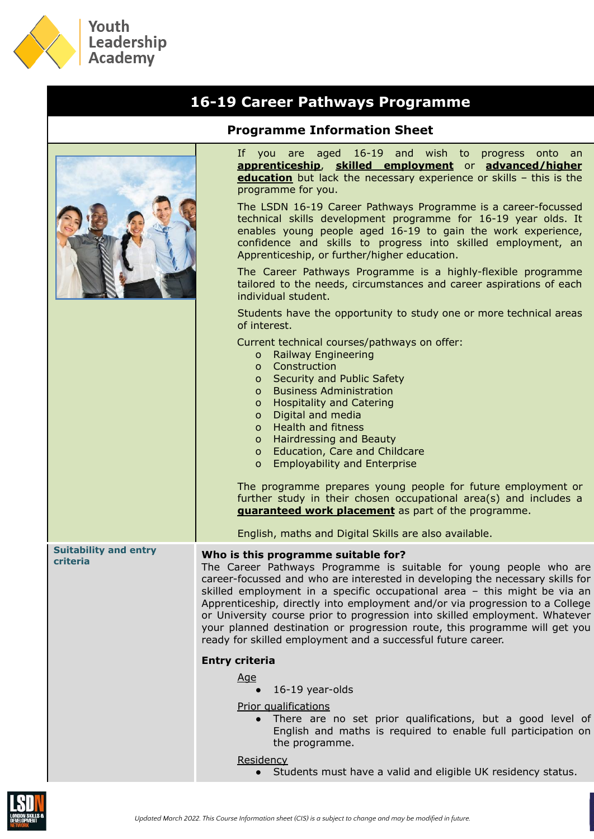

## **16-19 Career Pathways Programme Programme Information Sheet** If you are aged 16-19 and wish to progress onto an **apprenticeship**, **skilled employment** or **advanced/higher education** but lack the necessary experience or skills - this is the programme for you. The LSDN 16-19 Career Pathways Programme is a career-focussed technical skills development programme for 16-19 year olds. It enables young people aged 16-19 to gain the work experience, confidence and skills to progress into skilled employment, an Apprenticeship, or further/higher education. The Career Pathways Programme is a highly-flexible programme tailored to the needs, circumstances and career aspirations of each individual student. Students have the opportunity to study one or more technical areas of interest. Current technical courses/pathways on offer: o Railway Engineering o Construction o Security and Public Safety o Business Administration o Hospitality and Catering o Digital and media o Health and fitness o Hairdressing and Beauty o Education, Care and Childcare o Employability and Enterprise The programme prepares young people for future employment or further study in their chosen occupational area(s) and includes a **guaranteed work placement** as part of the programme. English, maths and Digital Skills are also available. **Suitability and entry criteria Who is this programme suitable for?** The Career Pathways Programme is suitable for young people who are career-focussed and who are interested in developing the necessary skills for skilled employment in a specific occupational area – this might be via an Apprenticeship, directly into employment and/or via progression to a College or University course prior to progression into skilled employment. Whatever your planned destination or progression route, this programme will get you ready for skilled employment and a successful future career. **Entry criteria** Age  $\bullet$  16-19 year-olds Prior qualifications ● There are no set prior qualifications, but a good level of English and maths is required to enable full participation on the programme.

## Residency

Students must have a valid and eligible UK residency status.

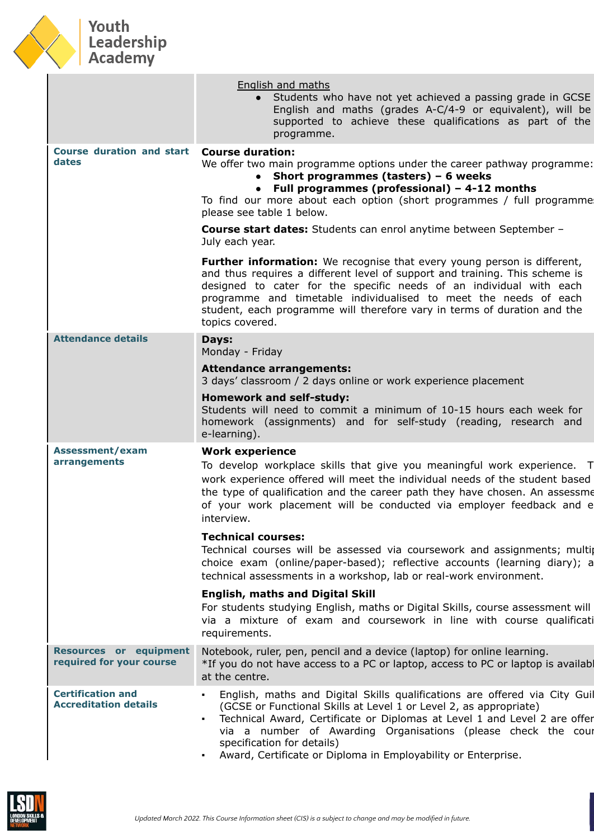

## Youth<br>Leadership<br>Academy

|                                                           | <b>English and maths</b><br>Students who have not yet achieved a passing grade in GCSE<br>English and maths (grades A-C/4-9 or equivalent), will be<br>supported to achieve these qualifications as part of the<br>programme.                                                                                                                                                                               |
|-----------------------------------------------------------|-------------------------------------------------------------------------------------------------------------------------------------------------------------------------------------------------------------------------------------------------------------------------------------------------------------------------------------------------------------------------------------------------------------|
| <b>Course duration and start</b><br>dates                 | <b>Course duration:</b><br>We offer two main programme options under the career pathway programme:<br>Short programmes (tasters) $-6$ weeks<br>• Full programmes (professional) $-$ 4-12 months<br>To find our more about each option (short programmes / full programme<br>please see table 1 below.                                                                                                       |
|                                                           | <b>Course start dates:</b> Students can enrol anytime between September -<br>July each year.                                                                                                                                                                                                                                                                                                                |
|                                                           | <b>Further information:</b> We recognise that every young person is different,<br>and thus requires a different level of support and training. This scheme is<br>designed to cater for the specific needs of an individual with each<br>programme and timetable individualised to meet the needs of each<br>student, each programme will therefore vary in terms of duration and the<br>topics covered.     |
| <b>Attendance details</b>                                 | Days:<br>Monday - Friday                                                                                                                                                                                                                                                                                                                                                                                    |
|                                                           | <b>Attendance arrangements:</b><br>3 days' classroom / 2 days online or work experience placement                                                                                                                                                                                                                                                                                                           |
|                                                           | <b>Homework and self-study:</b><br>Students will need to commit a minimum of 10-15 hours each week for<br>homework (assignments) and for self-study (reading, research and<br>e-learning).                                                                                                                                                                                                                  |
| <b>Assessment/exam</b><br>arrangements                    | <b>Work experience</b><br>To develop workplace skills that give you meaningful work experience. T<br>work experience offered will meet the individual needs of the student based<br>the type of qualification and the career path they have chosen. An assessme<br>of your work placement will be conducted via employer feedback and e<br>interview.                                                       |
|                                                           | <b>Technical courses:</b><br>Technical courses will be assessed via coursework and assignments; multip<br>choice exam (online/paper-based); reflective accounts (learning diary); a<br>technical assessments in a workshop, lab or real-work environment.                                                                                                                                                   |
|                                                           | <b>English, maths and Digital Skill</b><br>For students studying English, maths or Digital Skills, course assessment will<br>via a mixture of exam and coursework in line with course qualificati<br>requirements.                                                                                                                                                                                          |
| <b>Resources or equipment</b><br>required for your course | Notebook, ruler, pen, pencil and a device (laptop) for online learning.<br>*If you do not have access to a PC or laptop, access to PC or laptop is availabl<br>at the centre.                                                                                                                                                                                                                               |
| <b>Certification and</b><br><b>Accreditation details</b>  | English, maths and Digital Skills qualifications are offered via City Guil<br>٠<br>(GCSE or Functional Skills at Level 1 or Level 2, as appropriate)<br>Technical Award, Certificate or Diplomas at Level 1 and Level 2 are offer<br>٠<br>via a number of Awarding Organisations (please check the cour<br>specification for details)<br>Award, Certificate or Diploma in Employability or Enterprise.<br>٠ |

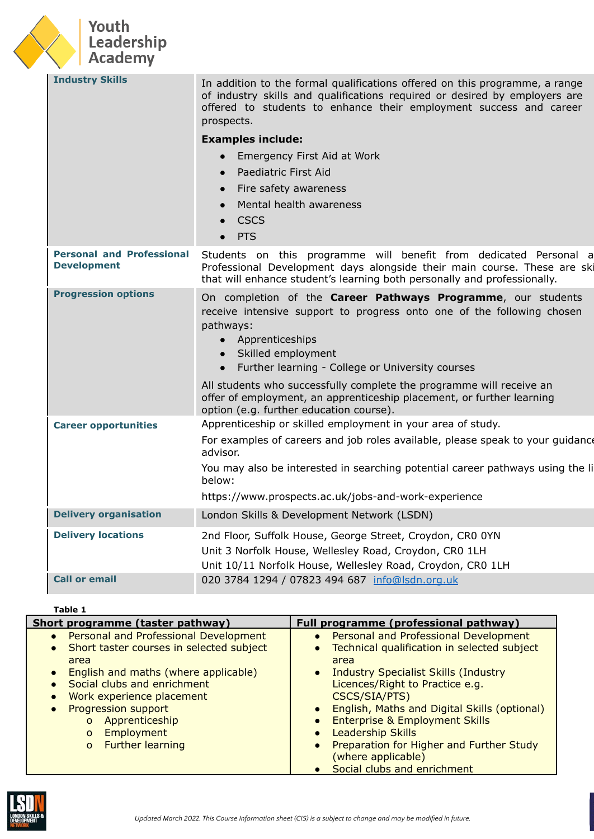

| <b>Industry Skills</b>                                 | In addition to the formal qualifications offered on this programme, a range                                                                                                                                                                                       |
|--------------------------------------------------------|-------------------------------------------------------------------------------------------------------------------------------------------------------------------------------------------------------------------------------------------------------------------|
|                                                        | of industry skills and qualifications required or desired by employers are<br>offered to students to enhance their employment success and career<br>prospects.                                                                                                    |
|                                                        | <b>Examples include:</b>                                                                                                                                                                                                                                          |
|                                                        | Emergency First Aid at Work                                                                                                                                                                                                                                       |
|                                                        | Paediatric First Aid<br>$\bullet$                                                                                                                                                                                                                                 |
|                                                        | Fire safety awareness<br>$\bullet$                                                                                                                                                                                                                                |
|                                                        | Mental health awareness                                                                                                                                                                                                                                           |
|                                                        | <b>CSCS</b>                                                                                                                                                                                                                                                       |
|                                                        | <b>PTS</b>                                                                                                                                                                                                                                                        |
| <b>Personal and Professional</b><br><b>Development</b> | Students on this programme will benefit from dedicated Personal a<br>Professional Development days alongside their main course. These are ski<br>that will enhance student's learning both personally and professionally.                                         |
| <b>Progression options</b>                             | On completion of the Career Pathways Programme, our students<br>receive intensive support to progress onto one of the following chosen<br>pathways:<br>• Apprenticeships<br>• Skilled employment<br>Further learning - College or University courses<br>$\bullet$ |
|                                                        | All students who successfully complete the programme will receive an<br>offer of employment, an apprenticeship placement, or further learning<br>option (e.g. further education course).                                                                          |
| <b>Career opportunities</b>                            | Apprenticeship or skilled employment in your area of study.                                                                                                                                                                                                       |
|                                                        | For examples of careers and job roles available, please speak to your guidance<br>advisor.                                                                                                                                                                        |
|                                                        | You may also be interested in searching potential career pathways using the li<br>below:                                                                                                                                                                          |
|                                                        | https://www.prospects.ac.uk/jobs-and-work-experience                                                                                                                                                                                                              |
| <b>Delivery organisation</b>                           | London Skills & Development Network (LSDN)                                                                                                                                                                                                                        |
| <b>Delivery locations</b>                              | 2nd Floor, Suffolk House, George Street, Croydon, CR0 0YN                                                                                                                                                                                                         |
|                                                        | Unit 3 Norfolk House, Wellesley Road, Croydon, CR0 1LH                                                                                                                                                                                                            |
|                                                        | Unit 10/11 Norfolk House, Wellesley Road, Croydon, CR0 1LH                                                                                                                                                                                                        |
| <b>Call or email</b>                                   | 020 3784 1294 / 07823 494 687 info@lsdn.org.uk                                                                                                                                                                                                                    |

## **Table 1**

| Short programme (taster pathway)                                                                                                                                     | Full programme (professional pathway)                                                                                                                                                                        |
|----------------------------------------------------------------------------------------------------------------------------------------------------------------------|--------------------------------------------------------------------------------------------------------------------------------------------------------------------------------------------------------------|
| • Personal and Professional Development<br>• Short taster courses in selected subject                                                                                | Personal and Professional Development<br>$\bullet$<br>Technical qualification in selected subject<br>$\bullet$                                                                                               |
| area<br>English and maths (where applicable)<br>Social clubs and enrichment<br>Work experience placement<br><b>Progression support</b><br>Apprenticeship<br>$\Omega$ | area<br>• Industry Specialist Skills (Industry<br>Licences/Right to Practice e.g.<br>CSCS/SIA/PTS)<br>English, Maths and Digital Skills (optional)<br>$\bullet$<br><b>Enterprise &amp; Employment Skills</b> |
| Employment<br>$\Omega$<br><b>Further learning</b><br>$\Omega$                                                                                                        | <b>Leadership Skills</b><br>Preparation for Higher and Further Study<br>$\bullet$<br>(where applicable)<br>Social clubs and enrichment                                                                       |